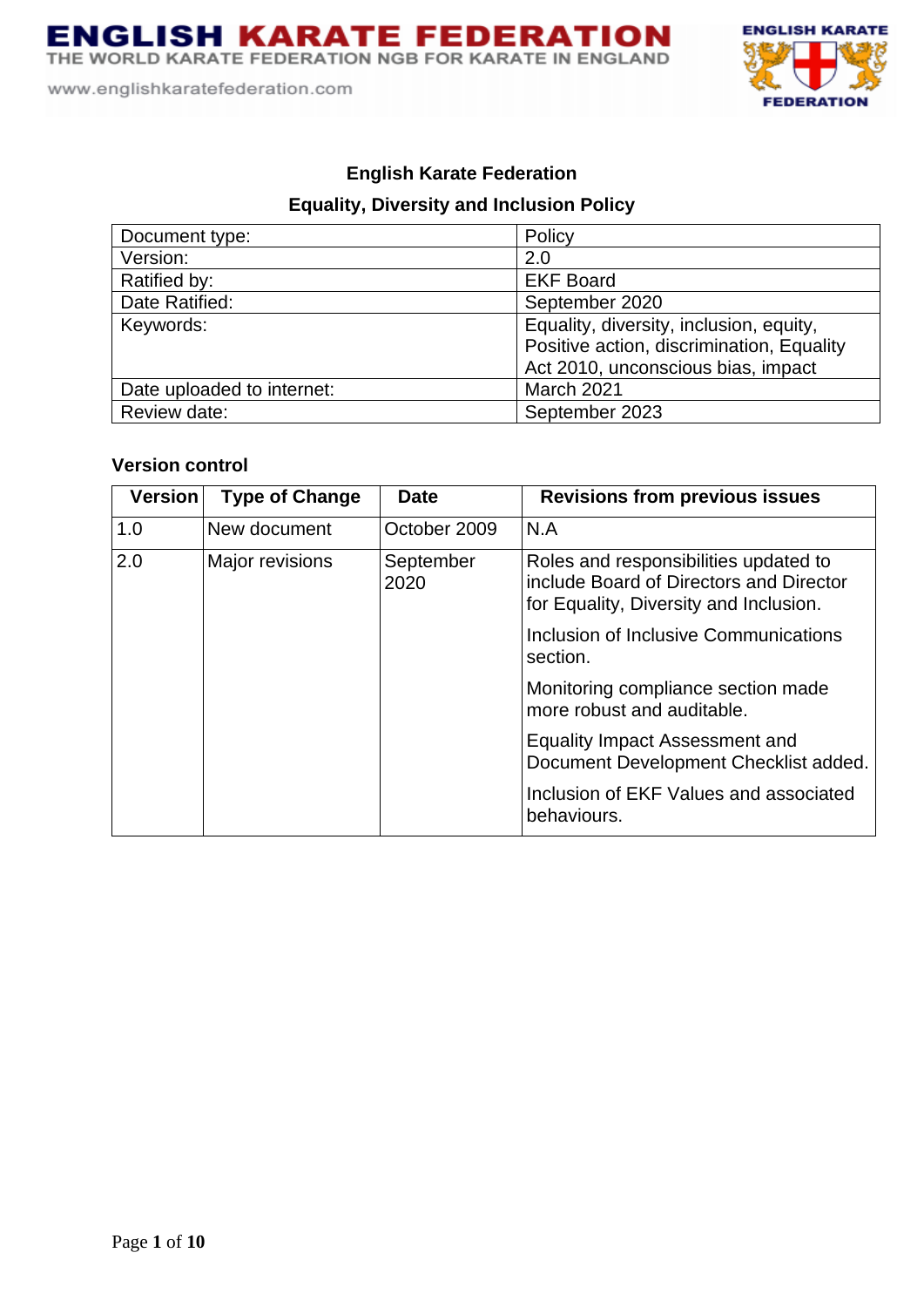THE WORLD KARATE FEDERATION NGB FOR KARATE IN ENGLAND

www.englishkaratefederation.com



# **English Karate Federation**

# **Equality, Diversity and Inclusion Policy**

| Document type:             | Policy                                    |
|----------------------------|-------------------------------------------|
| Version:                   | 2.0                                       |
| Ratified by:               | <b>EKF Board</b>                          |
| Date Ratified:             | September 2020                            |
| Keywords:                  | Equality, diversity, inclusion, equity,   |
|                            | Positive action, discrimination, Equality |
|                            | Act 2010, unconscious bias, impact        |
| Date uploaded to internet: | March 2021                                |
| Review date:               | September 2023                            |

# **Version control**

| <b>Version</b> | <b>Type of Change</b> | <b>Date</b>       | <b>Revisions from previous issues</b>                                                                                      |
|----------------|-----------------------|-------------------|----------------------------------------------------------------------------------------------------------------------------|
| 1.0            | New document          | October 2009      | N.A                                                                                                                        |
| 2.0            | Major revisions       | September<br>2020 | Roles and responsibilities updated to<br>include Board of Directors and Director<br>for Equality, Diversity and Inclusion. |
|                |                       |                   | Inclusion of Inclusive Communications<br>section.                                                                          |
|                |                       |                   | Monitoring compliance section made<br>more robust and auditable.                                                           |
|                |                       |                   | <b>Equality Impact Assessment and</b><br>Document Development Checklist added.                                             |
|                |                       |                   | Inclusion of EKF Values and associated<br>behaviours.                                                                      |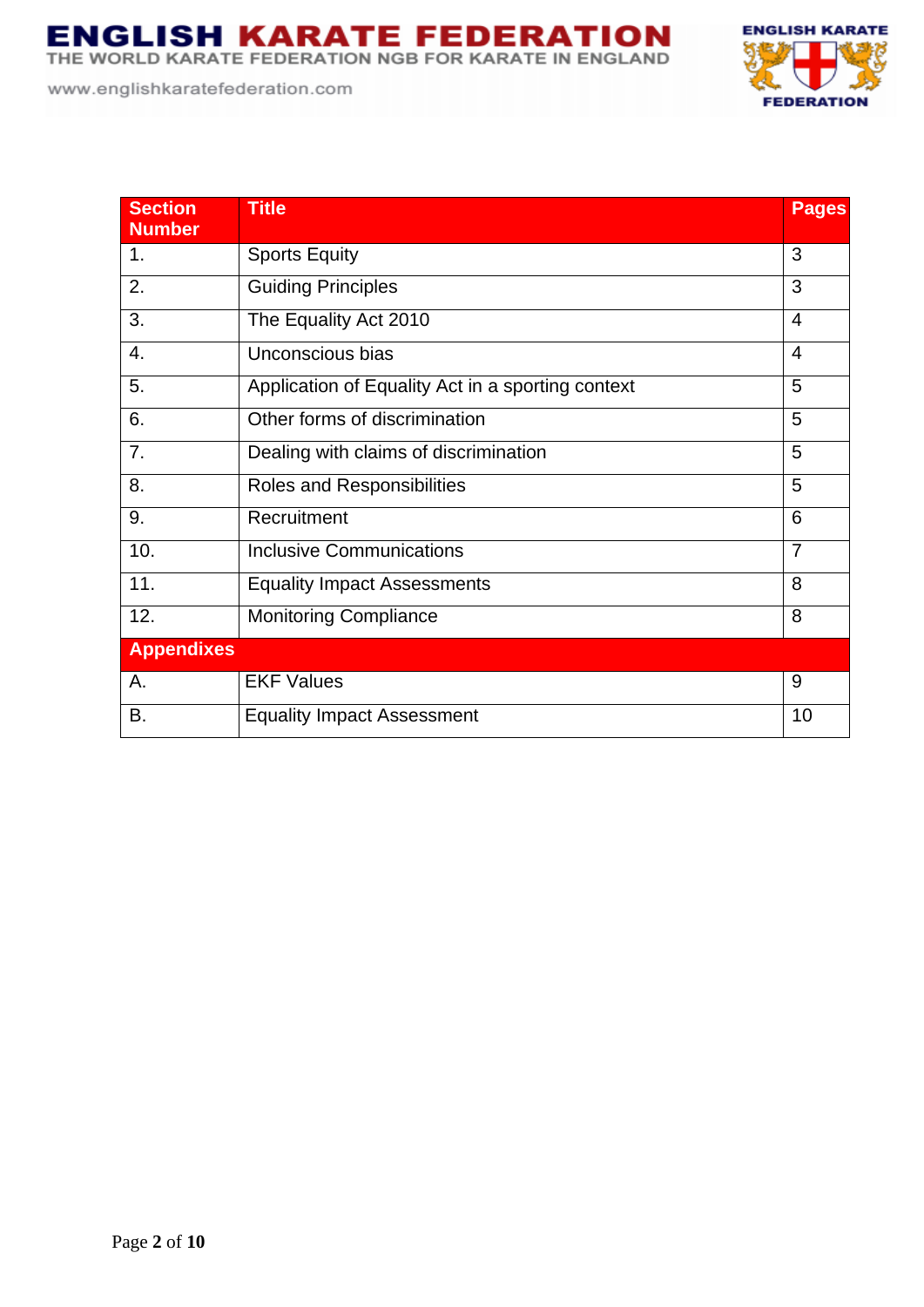**ENGLISH KARATE FEDERATION**<br>THE WORLD KARATE FEDERATION NGB FOR KARATE IN ENGLAND

www.englishkaratefederation.com





| <b>Section</b><br><b>Number</b> | <b>Title</b>                                      | <b>Pages</b>   |
|---------------------------------|---------------------------------------------------|----------------|
| 1 <sub>1</sub>                  | <b>Sports Equity</b>                              | 3              |
| 2.                              | <b>Guiding Principles</b>                         | 3              |
| 3.                              | The Equality Act 2010                             | $\overline{4}$ |
| 4.                              | Unconscious bias                                  | $\overline{4}$ |
| 5.                              | Application of Equality Act in a sporting context | 5              |
| 6.                              | Other forms of discrimination                     | 5              |
| 7.                              | Dealing with claims of discrimination             | 5              |
| 8.                              | Roles and Responsibilities                        | 5              |
| 9.                              | Recruitment                                       | 6              |
| 10.                             | <b>Inclusive Communications</b>                   | $\overline{7}$ |
| 11.                             | <b>Equality Impact Assessments</b>                | 8              |
| 12.                             | <b>Monitoring Compliance</b>                      | 8              |
| <b>Appendixes</b>               |                                                   |                |
| А.                              | <b>EKF Values</b>                                 | 9              |
| В.                              | <b>Equality Impact Assessment</b>                 | 10             |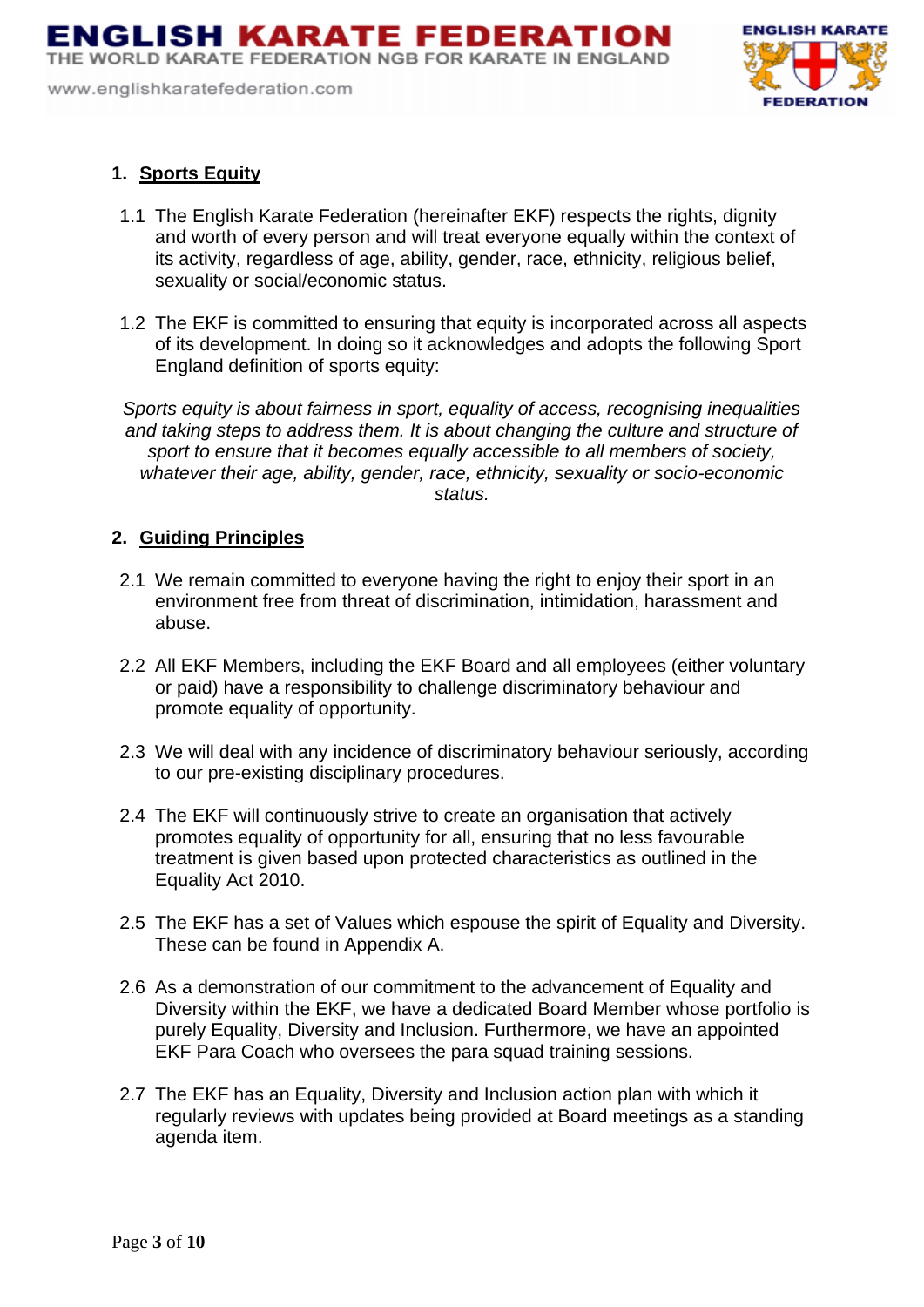THE WORLD KARATE FEDERATION NGB FOR KARATE IN ENGLAND

www.englishkaratefederation.com



# **1. Sports Equity**

- 1.1 The English Karate Federation (hereinafter EKF) respects the rights, dignity and worth of every person and will treat everyone equally within the context of its activity, regardless of age, ability, gender, race, ethnicity, religious belief, sexuality or social/economic status.
- 1.2 The EKF is committed to ensuring that equity is incorporated across all aspects of its development. In doing so it acknowledges and adopts the following Sport England definition of sports equity:

*Sports equity is about fairness in sport, equality of access, recognising inequalities and taking steps to address them. It is about changing the culture and structure of sport to ensure that it becomes equally accessible to all members of society, whatever their age, ability, gender, race, ethnicity, sexuality or socio-economic status.*

## **2. Guiding Principles**

- 2.1 We remain committed to everyone having the right to enjoy their sport in an environment free from threat of discrimination, intimidation, harassment and abuse.
- 2.2 All EKF Members, including the EKF Board and all employees (either voluntary or paid) have a responsibility to challenge discriminatory behaviour and promote equality of opportunity.
- 2.3 We will deal with any incidence of discriminatory behaviour seriously, according to our pre-existing disciplinary procedures.
- 2.4 The EKF will continuously strive to create an organisation that actively promotes equality of opportunity for all, ensuring that no less favourable treatment is given based upon protected characteristics as outlined in the Equality Act 2010.
- 2.5 The EKF has a set of Values which espouse the spirit of Equality and Diversity. These can be found in Appendix A.
- 2.6 As a demonstration of our commitment to the advancement of Equality and Diversity within the EKF, we have a dedicated Board Member whose portfolio is purely Equality, Diversity and Inclusion. Furthermore, we have an appointed EKF Para Coach who oversees the para squad training sessions.
- 2.7 The EKF has an Equality, Diversity and Inclusion action plan with which it regularly reviews with updates being provided at Board meetings as a standing agenda item.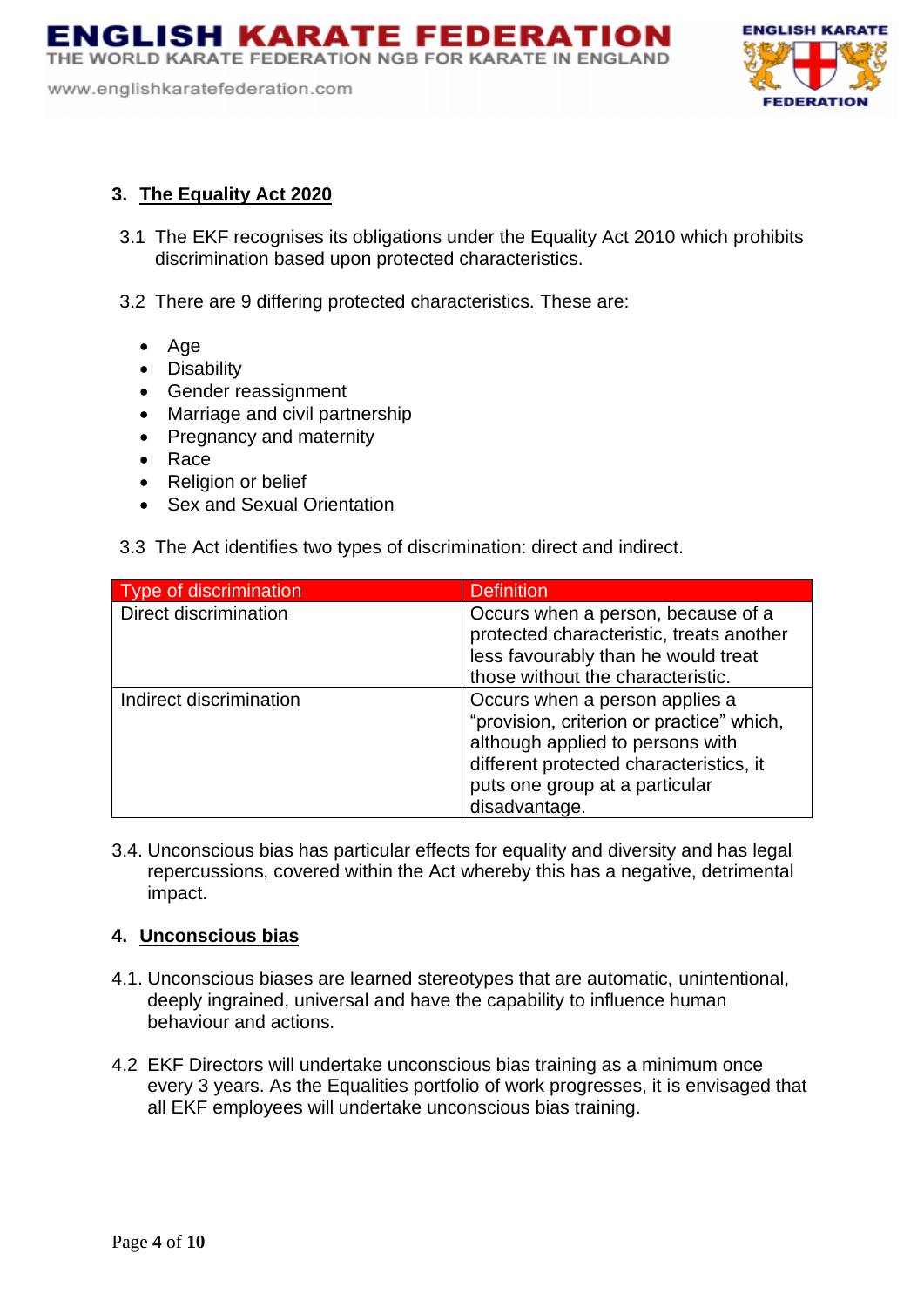ENGLISH KARATE FEDERATION THE WORLD KARATE FEDERATION NGB FOR KARATE IN ENGLAND

www.englishkaratefederation.com



## **3. The Equality Act 2020**

- 3.1 The EKF recognises its obligations under the Equality Act 2010 which prohibits discrimination based upon protected characteristics.
- 3.2 There are 9 differing protected characteristics. These are:
	- Age
	- Disability
	- Gender reassignment
	- Marriage and civil partnership
	- Pregnancy and maternity
	- Race
	- Religion or belief
	- Sex and Sexual Orientation

| 3.3 The Act identifies two types of discrimination: direct and indirect. |  |  |  |
|--------------------------------------------------------------------------|--|--|--|
|                                                                          |  |  |  |

| <b>Type of discrimination</b> | <b>Definition</b>                                                                                                                                                                                             |
|-------------------------------|---------------------------------------------------------------------------------------------------------------------------------------------------------------------------------------------------------------|
| <b>Direct discrimination</b>  | Occurs when a person, because of a<br>protected characteristic, treats another<br>less favourably than he would treat<br>those without the characteristic.                                                    |
| Indirect discrimination       | Occurs when a person applies a<br>"provision, criterion or practice" which,<br>although applied to persons with<br>different protected characteristics, it<br>puts one group at a particular<br>disadvantage. |

3.4. Unconscious bias has particular effects for equality and diversity and has legal repercussions, covered within the Act whereby this has a negative, detrimental impact.

## **4. Unconscious bias**

- 4.1. Unconscious biases are learned stereotypes that are automatic, unintentional, deeply ingrained, universal and have the capability to influence human behaviour and actions.
- 4.2 EKF Directors will undertake unconscious bias training as a minimum once every 3 years. As the Equalities portfolio of work progresses, it is envisaged that all EKF employees will undertake unconscious bias training.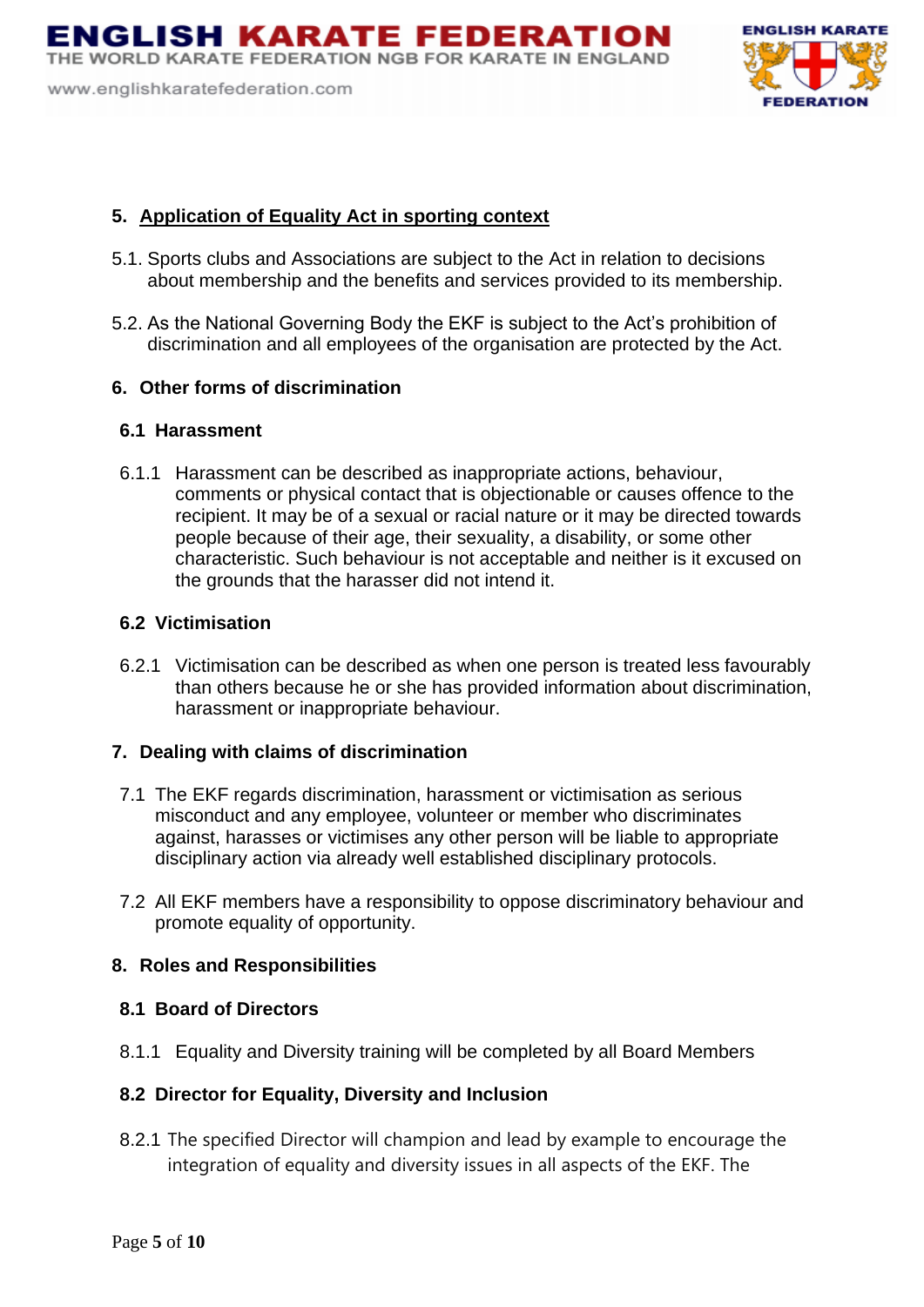ENGLISH KARATE FEDERATION THE WORLD KARATE FEDERATION NGB FOR KARATE IN ENGLAND

www.englishkaratefederation.com



## **5. Application of Equality Act in sporting context**

- 5.1. Sports clubs and Associations are subject to the Act in relation to decisions about membership and the benefits and services provided to its membership.
- 5.2. As the National Governing Body the EKF is subject to the Act's prohibition of discrimination and all employees of the organisation are protected by the Act.

## **6. Other forms of discrimination**

#### **6.1 Harassment**

6.1.1 Harassment can be described as inappropriate actions, behaviour, comments or physical contact that is objectionable or causes offence to the recipient. It may be of a sexual or racial nature or it may be directed towards people because of their age, their sexuality, a disability, or some other characteristic. Such behaviour is not acceptable and neither is it excused on the grounds that the harasser did not intend it.

#### **6.2 Victimisation**

6.2.1 Victimisation can be described as when one person is treated less favourably than others because he or she has provided information about discrimination, harassment or inappropriate behaviour.

#### **7. Dealing with claims of discrimination**

- 7.1 The EKF regards discrimination, harassment or victimisation as serious misconduct and any employee, volunteer or member who discriminates against, harasses or victimises any other person will be liable to appropriate disciplinary action via already well established disciplinary protocols.
- 7.2 All EKF members have a responsibility to oppose discriminatory behaviour and promote equality of opportunity.

## **8. Roles and Responsibilities**

#### **8.1 Board of Directors**

8.1.1 Equality and Diversity training will be completed by all Board Members

## **8.2 Director for Equality, Diversity and Inclusion**

8.2.1 The specified Director will champion and lead by example to encourage the integration of equality and diversity issues in all aspects of the EKF. The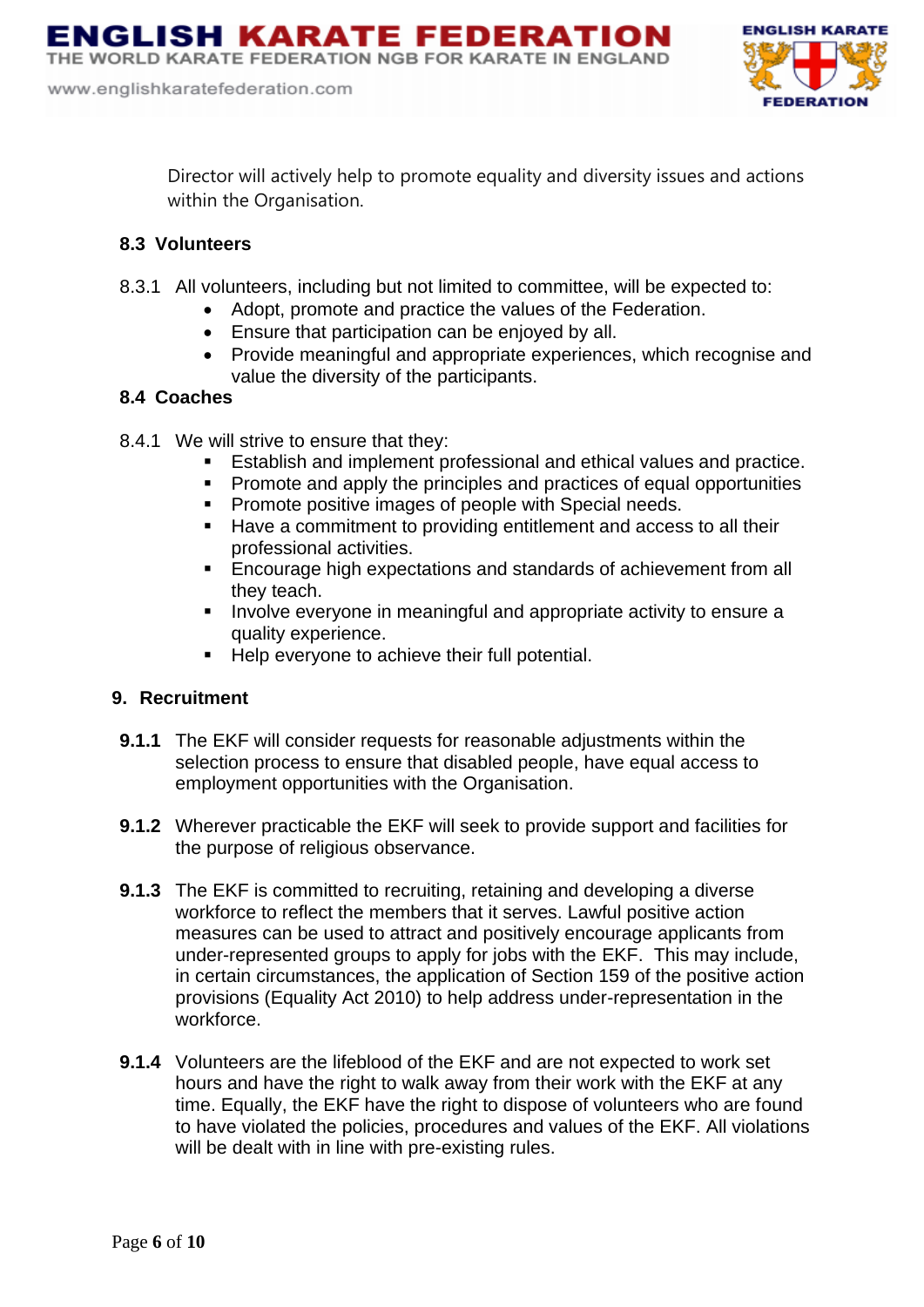

Director will actively help to promote equality and diversity issues and actions within the Organisation.

## **8.3 Volunteers**

- 8.3.1 All volunteers, including but not limited to committee, will be expected to:
	- Adopt, promote and practice the values of the Federation.
	- Ensure that participation can be enjoyed by all.
	- Provide meaningful and appropriate experiences, which recognise and value the diversity of the participants.

# **8.4 Coaches**

- 8.4.1 We will strive to ensure that they:
	- Establish and implement professional and ethical values and practice.
	- Promote and apply the principles and practices of equal opportunities
	- Promote positive images of people with Special needs.
	- Have a commitment to providing entitlement and access to all their professional activities.
	- **Encourage high expectations and standards of achievement from all** they teach.
	- Involve everyone in meaningful and appropriate activity to ensure a quality experience.
	- Help everyone to achieve their full potential.

# **9. Recruitment**

- **9.1.1** The EKF will consider requests for reasonable adjustments within the selection process to ensure that disabled people, have equal access to employment opportunities with the Organisation.
- **9.1.2** Wherever practicable the EKF will seek to provide support and facilities for the purpose of religious observance.
- **9.1.3** The EKF is committed to recruiting, retaining and developing a diverse workforce to reflect the members that it serves. Lawful positive action measures can be used to attract and positively encourage applicants from under-represented groups to apply for jobs with the EKF. This may include, in certain circumstances, the application of Section 159 of the positive action provisions (Equality Act 2010) to help address under-representation in the workforce.
- **9.1.4** Volunteers are the lifeblood of the EKF and are not expected to work set hours and have the right to walk away from their work with the EKF at any time. Equally, the EKF have the right to dispose of volunteers who are found to have violated the policies, procedures and values of the EKF. All violations will be dealt with in line with pre-existing rules.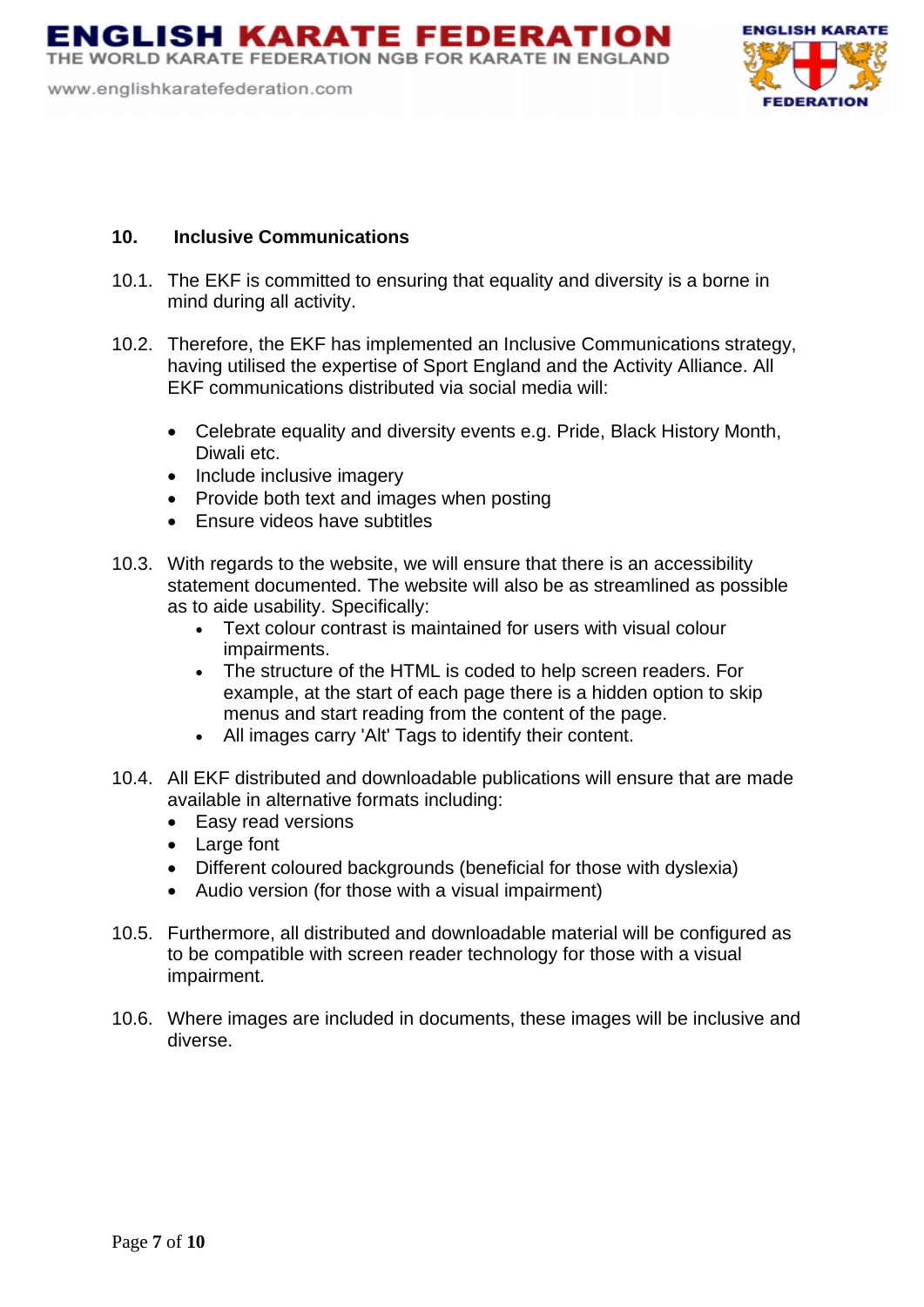THE WORLD KARATE FEDERATION NGB FOR KARATE IN ENGLAND

www.englishkaratefederation.com



#### **10. Inclusive Communications**

- 10.1. The EKF is committed to ensuring that equality and diversity is a borne in mind during all activity.
- 10.2. Therefore, the EKF has implemented an Inclusive Communications strategy, having utilised the expertise of Sport England and the Activity Alliance. All EKF communications distributed via social media will:
	- Celebrate equality and diversity events e.g. Pride, Black History Month, Diwali etc.
	- Include inclusive imagery
	- Provide both text and images when posting
	- Ensure videos have subtitles
- 10.3. With regards to the website, we will ensure that there is an accessibility statement documented. The website will also be as streamlined as possible as to aide usability. Specifically:
	- Text colour contrast is maintained for users with visual colour impairments.
	- The structure of the HTML is coded to help screen readers. For example, at the start of each page there is a hidden option to skip menus and start reading from the content of the page.
	- All images carry 'Alt' Tags to identify their content.
- 10.4. All EKF distributed and downloadable publications will ensure that are made available in alternative formats including:
	- Easy read versions
	- Large font
	- Different coloured backgrounds (beneficial for those with dyslexia)
	- Audio version (for those with a visual impairment)
- 10.5. Furthermore, all distributed and downloadable material will be configured as to be compatible with screen reader technology for those with a visual impairment.
- 10.6. Where images are included in documents, these images will be inclusive and diverse.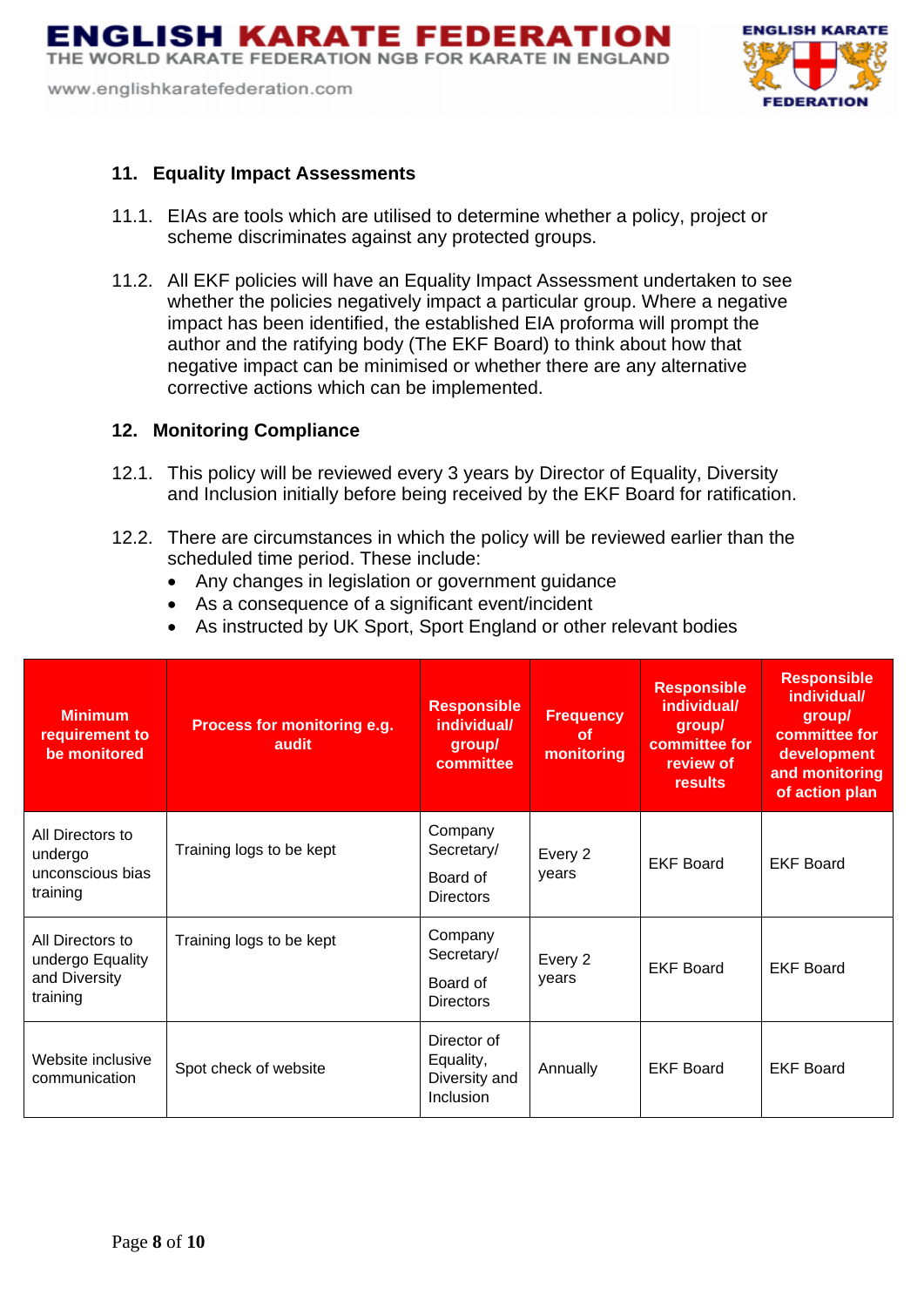www.englishkaratefederation.com



#### **11. Equality Impact Assessments**

- 11.1. EIAs are tools which are utilised to determine whether a policy, project or scheme discriminates against any protected groups.
- 11.2. All EKF policies will have an Equality Impact Assessment undertaken to see whether the policies negatively impact a particular group. Where a negative impact has been identified, the established EIA proforma will prompt the author and the ratifying body (The EKF Board) to think about how that negative impact can be minimised or whether there are any alternative corrective actions which can be implemented.

#### **12. Monitoring Compliance**

- 12.1. This policy will be reviewed every 3 years by Director of Equality, Diversity and Inclusion initially before being received by the EKF Board for ratification.
- 12.2. There are circumstances in which the policy will be reviewed earlier than the scheduled time period. These include:
	- Any changes in legislation or government guidance
	- As a consequence of a significant event/incident
	- As instructed by UK Sport, Sport England or other relevant bodies

| <b>Minimum</b><br>requirement to<br>be monitored                  | Process for monitoring e.g.<br>audit | <b>Responsible</b><br>individual/<br>group/<br>committee | <b>Frequency</b><br><b>of</b><br>monitoring | <b>Responsible</b><br>individual/<br>group/<br>committee for<br>review of<br>results | <b>Responsible</b><br>individual/<br>group/<br>committee for<br>development<br>and monitoring<br>of action plan |
|-------------------------------------------------------------------|--------------------------------------|----------------------------------------------------------|---------------------------------------------|--------------------------------------------------------------------------------------|-----------------------------------------------------------------------------------------------------------------|
| All Directors to<br>undergo<br>unconscious bias<br>training       | Training logs to be kept             | Company<br>Secretary/<br>Board of<br><b>Directors</b>    | Every 2<br>vears                            | <b>EKF Board</b>                                                                     | <b>EKF Board</b>                                                                                                |
| All Directors to<br>undergo Equality<br>and Diversity<br>training | Training logs to be kept             | Company<br>Secretary/<br>Board of<br><b>Directors</b>    | Every 2<br>vears                            | <b>EKF Board</b>                                                                     | <b>EKF Board</b>                                                                                                |
| Website inclusive<br>communication                                | Spot check of website                | Director of<br>Equality,<br>Diversity and<br>Inclusion   | Annually                                    | <b>EKF Board</b>                                                                     | <b>EKF Board</b>                                                                                                |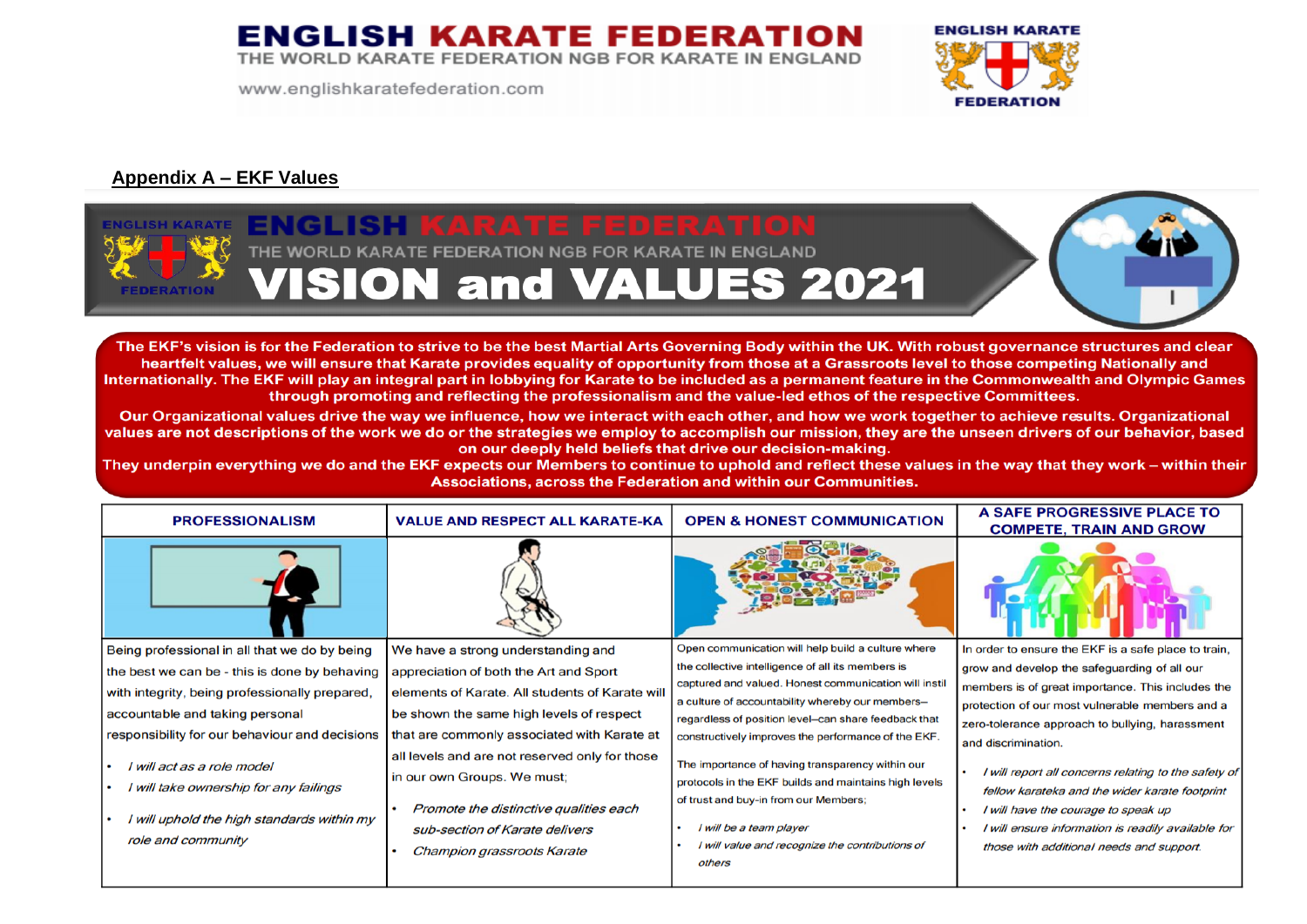THE WORLD KARATE FEDERATION NGB FOR KARATE IN ENGLAND

www.englishkaratefederation.com



## **Appendix A – EKF Values**



The EKF's vision is for the Federation to strive to be the best Martial Arts Governing Body within the UK. With robust governance structures and clear heartfelt values, we will ensure that Karate provides equality of opportunity from those at a Grassroots level to those competing Nationally and Internationally. The EKF will play an integral part in lobbying for Karate to be included as a permanent feature in the Commonwealth and Olympic Games through promoting and reflecting the professionalism and the value-led ethos of the respective Committees.

Our Organizational values drive the way we influence, how we interact with each other, and how we work together to achieve results. Organizational values are not descriptions of the work we do or the strategies we employ to accomplish our mission, they are the unseen drivers of our behavior, based on our deeply held beliefs that drive our decision-making.

They underpin everything we do and the EKF expects our Members to continue to uphold and reflect these values in the way that they work – within their Associations, across the Federation and within our Communities.

| <b>PROFESSIONALISM</b>                         | <b>VALUE AND RESPECT ALL KARATE-KA</b>          | <b>OPEN &amp; HONEST COMMUNICATION</b>                                                                   | A SAFE PROGRESSIVE PLACE TO<br><b>COMPETE, TRAIN AND GROW</b> |
|------------------------------------------------|-------------------------------------------------|----------------------------------------------------------------------------------------------------------|---------------------------------------------------------------|
|                                                |                                                 |                                                                                                          |                                                               |
| Being professional in all that we do by being  | We have a strong understanding and              | Open communication will help build a culture where                                                       | In order to ensure the EKF is a safe place to train,          |
| the best we can be - this is done by behaving  | appreciation of both the Art and Sport          | the collective intelligence of all its members is                                                        | grow and develop the safeguarding of all our                  |
| with integrity, being professionally prepared, | elements of Karate. All students of Karate will | captured and valued. Honest communication will instil                                                    | members is of great importance. This includes the             |
| accountable and taking personal                | be shown the same high levels of respect        | a culture of accountability whereby our members-<br>regardless of position level-can share feedback that | protection of our most vulnerable members and a               |
| responsibility for our behaviour and decisions | that are commonly associated with Karate at     | constructively improves the performance of the EKF.                                                      | zero-tolerance approach to bullying, harassment               |
|                                                | all levels and are not reserved only for those  |                                                                                                          | and discrimination.                                           |
| I will act as a role model                     | in our own Groups. We must;                     | The importance of having transparency within our                                                         | I will report all concerns relating to the safety of          |
| I will take ownership for any failings         |                                                 | protocols in the EKF builds and maintains high levels                                                    | fellow karateka and the wider karate footprint                |
|                                                | Promote the distinctive qualities each          | of trust and buy-in from our Members;                                                                    | I will have the courage to speak up                           |
| I will uphold the high standards within my     | sub-section of Karate delivers                  | I will be a team player                                                                                  | I will ensure information is readily available for            |
| role and community                             | Champion grassroots Karate                      | I will value and recognize the contributions of                                                          | those with additional needs and support.                      |
|                                                |                                                 | others                                                                                                   |                                                               |